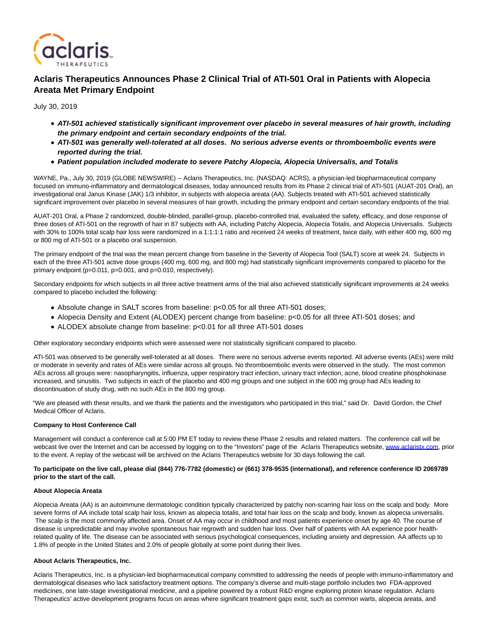

# **Aclaris Therapeutics Announces Phase 2 Clinical Trial of ATI-501 Oral in Patients with Alopecia Areata Met Primary Endpoint**

July 30, 2019

- **ATI-501 achieved statistically significant improvement over placebo in several measures of hair growth, including the primary endpoint and certain secondary endpoints of the trial.**
- **ATI-501 was generally well-tolerated at all doses. No serious adverse events or thromboembolic events were reported during the trial.**
- **Patient population included moderate to severe Patchy Alopecia, Alopecia Universalis, and Totalis**

WAYNE, Pa., July 30, 2019 (GLOBE NEWSWIRE) -- Aclaris Therapeutics, Inc. (NASDAQ: ACRS), a physician-led biopharmaceutical company focused on immuno-inflammatory and dermatological diseases, today announced results from its Phase 2 clinical trial of ATI-501 (AUAT-201 Oral), an investigational oral Janus Kinase (JAK) 1/3 inhibitor, in subjects with alopecia areata (AA). Subjects treated with ATI-501 achieved statistically significant improvement over placebo in several measures of hair growth, including the primary endpoint and certain secondary endpoints of the trial.

AUAT-201 Oral, a Phase 2 randomized, double-blinded, parallel-group, placebo-controlled trial, evaluated the safety, efficacy, and dose response of three doses of ATI-501 on the regrowth of hair in 87 subjects with AA, including Patchy Alopecia, Alopecia Totalis, and Alopecia Universalis. Subjects with 30% to 100% total scalp hair loss were randomized in a 1:1:1:1 ratio and received 24 weeks of treatment, twice daily, with either 400 mg, 600 mg or 800 mg of ATI-501 or a placebo oral suspension.

The primary endpoint of the trial was the mean percent change from baseline in the Severity of Alopecia Tool (SALT) score at week 24. Subjects in each of the three ATI-501 active dose groups (400 mg, 600 mg, and 800 mg) had statistically significant improvements compared to placebo for the primary endpoint (p=0.011, p=0.001, and p=0.010, respectively).

Secondary endpoints for which subjects in all three active treatment arms of the trial also achieved statistically significant improvements at 24 weeks compared to placebo included the following:

- Absolute change in SALT scores from baseline: p<0.05 for all three ATI-501 doses;
- Alopecia Density and Extent (ALODEX) percent change from baseline: p<0.05 for all three ATI-501 doses; and
- ALODEX absolute change from baseline: p<0.01 for all three ATI-501 doses

Other exploratory secondary endpoints which were assessed were not statistically significant compared to placebo.

ATI-501 was observed to be generally well-tolerated at all doses. There were no serious adverse events reported. All adverse events (AEs) were mild or moderate in severity and rates of AEs were similar across all groups. No thromboembolic events were observed in the study. The most common AEs across all groups were: nasopharyngitis, influenza, upper respiratory tract infection, urinary tract infection, acne, blood creatine phosphokinase increased, and sinusitis. Two subjects in each of the placebo and 400 mg groups and one subject in the 600 mg group had AEs leading to discontinuation of study drug, with no such AEs in the 800 mg group.

"We are pleased with these results, and we thank the patients and the investigators who participated in this trial," said Dr. David Gordon, the Chief Medical Officer of Aclaris.

## **Company to Host Conference Call**

Management will conduct a conference call at 5:00 PM ET today to review these Phase 2 results and related matters. The conference call will be webcast live over the Internet and can be accessed by logging on to the "Investors" page of the Aclaris Therapeutics website[, www.aclaristx.com,](http://www.aclaristx.com/) prior to the event. A replay of the webcast will be archived on the Aclaris Therapeutics website for 30 days following the call.

### **To participate on the live call, please dial (844) 776-7782 (domestic) or (661) 378-9535 (international), and reference conference ID 2069789 prior to the start of the call.**

#### **About Alopecia Areata**

Alopecia Areata (AA) is an autoimmune dermatologic condition typically characterized by patchy non-scarring hair loss on the scalp and body. More severe forms of AA include total scalp hair loss, known as alopecia totalis, and total hair loss on the scalp and body, known as alopecia universalis. The scalp is the most commonly affected area. Onset of AA may occur in childhood and most patients experience onset by age 40. The course of disease is unpredictable and may involve spontaneous hair regrowth and sudden hair loss. Over half of patients with AA experience poor healthrelated quality of life. The disease can be associated with serious psychological consequences, including anxiety and depression. AA affects up to 1.8% of people in the United States and 2.0% of people globally at some point during their lives.

## **About Aclaris Therapeutics, Inc.**

Aclaris Therapeutics, Inc. is a physician-led biopharmaceutical company committed to addressing the needs of people with immuno-inflammatory and dermatological diseases who lack satisfactory treatment options. The company's diverse and multi-stage portfolio includes two FDA-approved medicines, one late-stage investigational medicine, and a pipeline powered by a robust R&D engine exploring protein kinase regulation. Aclaris Therapeutics' active development programs focus on areas where significant treatment gaps exist, such as common warts, alopecia areata, and